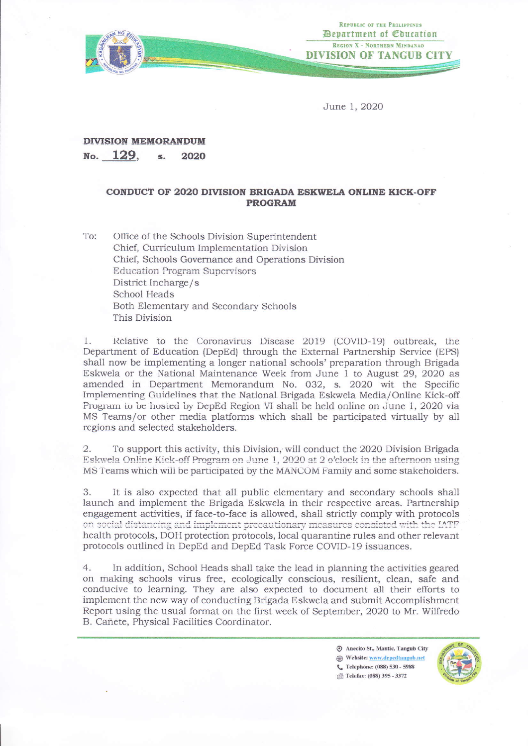

REPUBLIC OF THE PHILIPPINES *Department of Coucation* REGION X - NORTHERN MINDANAO **DIVISION OF TANGUB CIT** 

June 1, 2020

## **DIVISION MEMORANDUM**

No. 129. 2020  $\mathbf{S}$ .

## CONDUCT OF 2020 DIVISION BRIGADA ESKWELA ONLINE KICK-OFF **PROGRAM**

To: Office of the Schools Division Superintendent Chief, Curriculum Implementation Division Chief, Schools Governance and Operations Division **Education Program Supervisors** District Incharge/s School Heads Both Elementary and Secondary Schools This Division

Relative to the Coronavirus Disease 2019 (COVID-19) outbreak, the  $\mathbf{1}$ Department of Education (DepEd) through the External Partnership Service (EPS) shall now be implementing a longer national schools' preparation through Brigada Eskwela or the National Maintenance Week from June 1 to August 29, 2020 as amended in Department Memorandum No. 032, s. 2020 wit the Specific Implementing Guidelines that the National Brigada Eskwela Media/Online Kick-off Program to be hosted by DepEd Region VI shall be held online on June 1, 2020 via MS Teams/or other media platforms which shall be participated virtually by all regions and selected stakeholders.

To support this activity, this Division, will conduct the 2020 Division Brigada  $2.$ Eskwela Online Kick-off Program on June 1, 2020 at 2 o'clock in the afternoon using MS Teams which will be participated by the MANCOM Family and some stakeholders.

3. It is also expected that all public elementary and secondary schools shall launch and implement the Brigada Eskwela in their respective areas. Partnership engagement activities, if face-to-face is allowed, shall strictly comply with protocols on social distancing and implement precautionary measures consisted with the IATF health protocols, DOH protection protocols, local quarantine rules and other relevant protocols outlined in DepEd and DepEd Task Force COVID-19 issuances.

 $4.$ In addition, School Heads shall take the lead in planning the activities geared on making schools virus free, ecologically conscious, resilient, clean, safe and conducive to learning. They are also expected to document all their efforts to implement the new way of conducting Brigada Eskwela and submit Accomplishment Report using the usual format on the first week of September, 2020 to Mr. Wilfredo B. Cañete, Physical Facilities Coordinator.

> Anecito St., Mantic, Tangub City Website: www.depedtangub.net C. Telephone: (088) 530 - 5988 <sup>12</sup> Telefax: (088) 395 - 3372